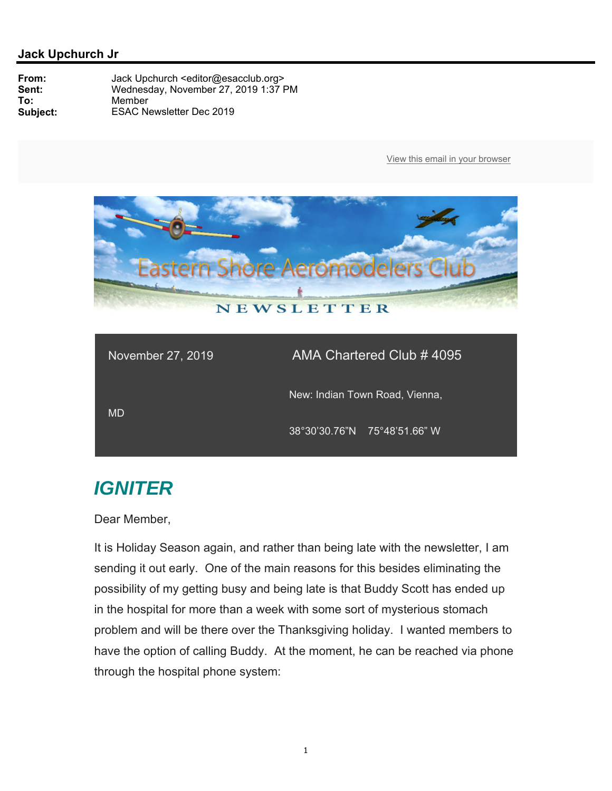

| November 27, 2019 | AMA Chartered Club # 4095      |
|-------------------|--------------------------------|
| MD                | New: Indian Town Road, Vienna, |
|                   | 38°30'30.76"N 75°48'51.66" W   |

# *IGNITER*

Dear Member,

It is Holiday Season again, and rather than being late with the newsletter, I am sending it out early. One of the main reasons for this besides eliminating the possibility of my getting busy and being late is that Buddy Scott has ended up in the hospital for more than a week with some sort of mysterious stomach problem and will be there over the Thanksgiving holiday. I wanted members to have the option of calling Buddy. At the moment, he can be reached via phone through the hospital phone system: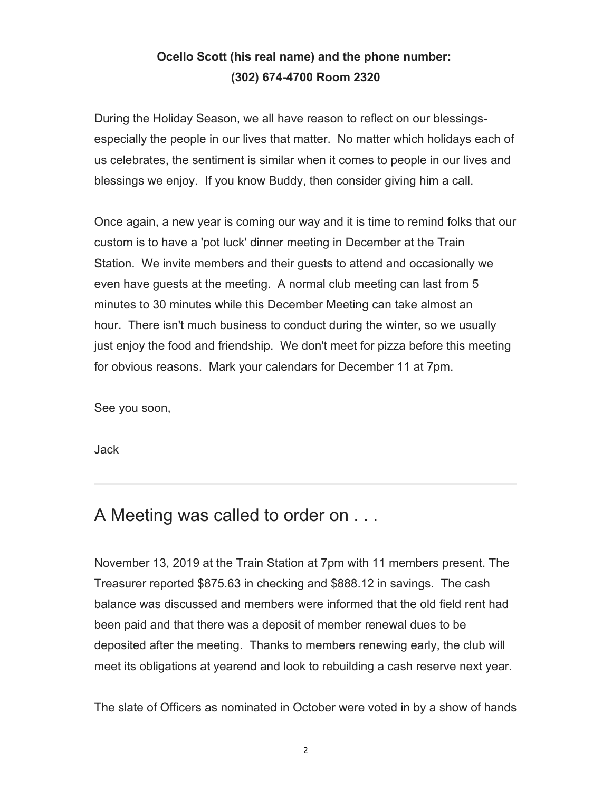### **Ocello Scott (his real name) and the phone number: (302) 674-4700 Room 2320**

During the Holiday Season, we all have reason to reflect on our blessingsespecially the people in our lives that matter. No matter which holidays each of us celebrates, the sentiment is similar when it comes to people in our lives and blessings we enjoy. If you know Buddy, then consider giving him a call.

Once again, a new year is coming our way and it is time to remind folks that our custom is to have a 'pot luck' dinner meeting in December at the Train Station. We invite members and their guests to attend and occasionally we even have guests at the meeting. A normal club meeting can last from 5 minutes to 30 minutes while this December Meeting can take almost an hour. There isn't much business to conduct during the winter, so we usually just enjoy the food and friendship. We don't meet for pizza before this meeting for obvious reasons. Mark your calendars for December 11 at 7pm.

See you soon,

Jack

## A Meeting was called to order on . . .

November 13, 2019 at the Train Station at 7pm with 11 members present. The Treasurer reported \$875.63 in checking and \$888.12 in savings. The cash balance was discussed and members were informed that the old field rent had been paid and that there was a deposit of member renewal dues to be deposited after the meeting. Thanks to members renewing early, the club will meet its obligations at yearend and look to rebuilding a cash reserve next year.

The slate of Officers as nominated in October were voted in by a show of hands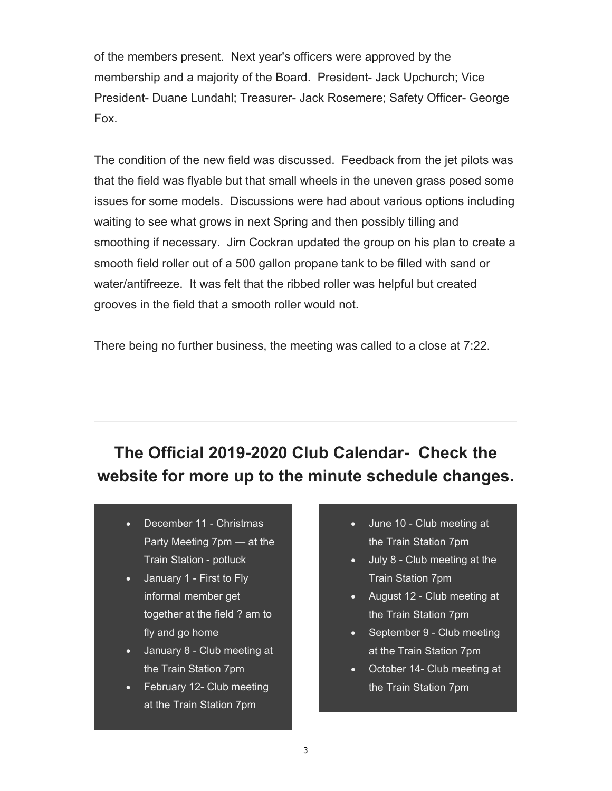of the members present. Next year's officers were approved by the membership and a majority of the Board. President- Jack Upchurch; Vice President- Duane Lundahl; Treasurer- Jack Rosemere; Safety Officer- George Fox.

The condition of the new field was discussed. Feedback from the jet pilots was that the field was flyable but that small wheels in the uneven grass posed some issues for some models. Discussions were had about various options including waiting to see what grows in next Spring and then possibly tilling and smoothing if necessary. Jim Cockran updated the group on his plan to create a smooth field roller out of a 500 gallon propane tank to be filled with sand or water/antifreeze. It was felt that the ribbed roller was helpful but created grooves in the field that a smooth roller would not.

There being no further business, the meeting was called to a close at 7:22.

# **The Official 2019-2020 Club Calendar- Check the website for more up to the minute schedule changes.**

- December 11 Christmas Party Meeting 7pm — at the Train Station - potluck
- January 1 First to Fly informal member get together at the field ? am to fly and go home
- January 8 Club meeting at the Train Station 7pm
- February 12- Club meeting at the Train Station 7pm
- June 10 Club meeting at the Train Station 7pm
- July 8 Club meeting at the Train Station 7pm
- August 12 Club meeting at the Train Station 7pm
- September 9 Club meeting at the Train Station 7pm
- October 14- Club meeting at the Train Station 7pm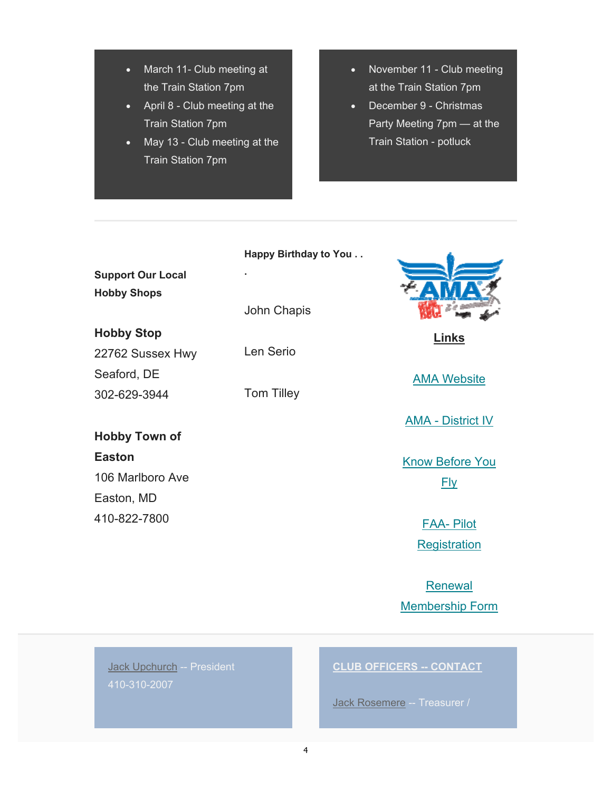- March 11- Club meeting at the Train Station 7pm
- April 8 Club meeting at the Train Station 7pm
- May 13 Club meeting at the Train Station 7pm
- November 11 Club meeting at the Train Station 7pm
- December 9 Christmas Party Meeting 7pm — at the Train Station - potluck

#### **Happy Birthday to You . .**

**Support Our Local Hobby Shops**

**Hobby Stop** 22762 Sussex Hwy Seaford, DE

## **Hobby Town of**

302-629-3944

**Easton** 106 Marlboro Ave Easton, MD 410-822-7800

John Chapis

Len Serio

**.**

Tom Tilley



**Links** 

AMA Website

AMA - District IV

Know Before You Fly

> FAA- Pilot **Registration**

Renewal Membership Form

Jack Upchurch -- President 410-310-2007

### **CLUB OFFICERS -- CONTACT**

Jack Rosemere -- Treasurer /